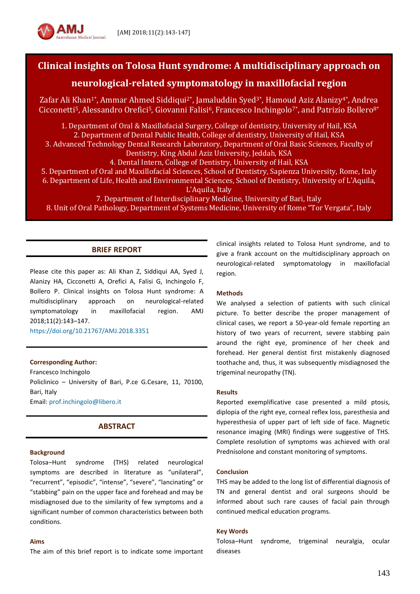

# **Clinical insights on Tolosa Hunt syndrome: A multidisciplinary approach on**

# **neurological-related symptomatology in maxillofacial region**

Zafar Ali Khan<sup>1\*</sup>, Ammar Ahmed Siddiqui<sup>2\*</sup>, Jamaluddin Syed<sup>3\*</sup>, Hamoud Aziz Alanizy<sup>4\*</sup>, Andrea Cicconetti<sup>5</sup>, Alessandro Orefici<sup>5</sup>, Giovanni Falisi<sup>6</sup>, Francesco Inchingolo<sup>7\*</sup>, and Patrizio Bollero<sup>8\*</sup>

1. Department of Oral & Maxillofacial Surgery, College of dentistry, University of Hail, KSA 2. Department of Dental Public Health, College of dentistry, University of Hail, KSA 3. Advanced Technology Dental Research Laboratory, Department of Oral Basic Sciences, Faculty of Dentistry, King Abdul Aziz University, Jeddah, KSA 4. Dental Intern, College of Dentistry, University of Hail, KSA 5. Department of Oral and Maxillofacial Sciences, School of Dentistry, Sapienza University, Rome, Italy 6. Department of Life, Health and Environmental Sciences, School of Dentistry, University of L'Aquila,

L'Aquila, Italy

7. Department of Interdisciplinary Medicine, University of Bari, Italy

8. Unit of Oral Pathology, Department of Systems Medicine, University of Rome "Tor Vergata", Italy

## **BRIEF REPORT**

Please cite this paper as: Ali Khan Z, Siddiqui AA, Syed J, Alanizy HA, Cicconetti A, Orefici A, Falisi G, Inchingolo F, Bollero P. Clinical insights on Tolosa Hunt syndrome: A multidisciplinary approach on neurological-related symptomatology in maxillofacial region. AMJ 2018;11(2):143–147.

<https://doi.org/10.21767/AMJ.2018.3351>

### **Corresponding Author:**

Francesco Inchingolo Policlinico – University of Bari, P.ce G.Cesare, 11, 70100, Bari, Italy Email[: prof.inchingolo@libero.it](mailto:prof.inchingolo@libero.it)

## **ABSTRACT**

## **Background**

Tolosa–Hunt syndrome (THS) related neurological symptoms are described in literature as "unilateral", "recurrent", "episodic", "intense", "severe", "lancinating" or "stabbing" pain on the upper face and forehead and may be misdiagnosed due to the similarity of few symptoms and a significant number of common characteristics between both conditions.

## **Aims**

The aim of this brief report is to indicate some important

clinical insights related to Tolosa Hunt syndrome, and to give a frank account on the multidisciplinary approach on neurological-related symptomatology in maxillofacial region.

#### **Methods**

We analysed a selection of patients with such clinical picture. To better describe the proper management of clinical cases, we report a 50-year-old female reporting an history of two years of recurrent, severe stabbing pain around the right eye, prominence of her cheek and forehead. Her general dentist first mistakenly diagnosed toothache and, thus, it was subsequently misdiagnosed the trigeminal neuropathy (TN).

#### **Results**

Reported exemplificative case presented a mild ptosis, diplopia of the right eye, corneal reflex loss, paresthesia and hyperesthesia of upper part of left side of face. Magnetic resonance imaging (MRI) findings were suggestive of THS. Complete resolution of symptoms was achieved with oral Prednisolone and constant monitoring of symptoms.

#### **Conclusion**

THS may be added to the long list of differential diagnosis of TN and general dentist and oral surgeons should be informed about such rare causes of facial pain through continued medical education programs.

#### **Key Words**

Tolosa–Hunt syndrome, trigeminal neuralgia, ocular diseases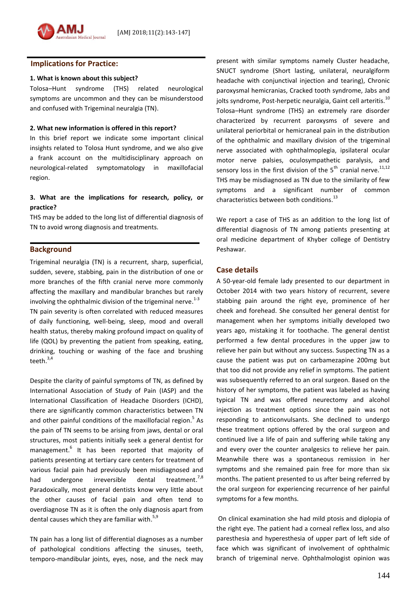### **Implications for Practice:**

#### **1. What is known about this subject?**

Tolosa–Hunt syndrome (THS) related neurological symptoms are uncommon and they can be misunderstood and confused with Trigeminal neuralgia (TN).

#### **2. What new information is offered in this report?**

In this brief report we indicate some important clinical insights related to Tolosa Hunt syndrome, and we also give a frank account on the multidisciplinary approach on neurological-related symptomatology in maxillofacial region.

## **3. What are the implications for research, policy, or practice?**

THS may be added to the long list of differential diagnosis of TN to avoid wrong diagnosis and treatments.

## **Background**

Trigeminal neuralgia (TN) is a recurrent, sharp, superficial, sudden, severe, stabbing, pain in the distribution of one or more branches of the fifth cranial nerve more commonly affecting the maxillary and mandibular branches but rarely involving the ophthalmic division of the trigeminal nerve.<sup>1-3</sup> TN pain severity is often correlated with reduced measures of daily functioning, well-being, sleep, mood and overall health status, thereby making profound impact on quality of life (QOL) by preventing the patient from speaking, eating, drinking, touching or washing of the face and brushing teeth. $^{3,4}$ 

Despite the clarity of painful symptoms of TN, as defined by International Association of Study of Pain (IASP) and the International Classification of Headache Disorders (ICHD), there are significantly common characteristics between TN and other painful conditions of the maxillofacial region.<sup>5</sup> As the pain of TN seems to be arising from jaws, dental or oral structures, most patients initially seek a general dentist for management. 6 It has been reported that majority of patients presenting at tertiary care centers for treatment of various facial pain had previously been misdiagnosed and had undergone irreversible dental treatment.<sup>7,8</sup> Paradoxically, most general dentists know very little about the other causes of facial pain and often tend to overdiagnose TN as it is often the only diagnosis apart from dental causes which they are familiar with.<sup>5,9</sup>

TN pain has a long list of differential diagnoses as a number of pathological conditions affecting the sinuses, teeth, temporo-mandibular joints, eyes, nose, and the neck may

present with similar symptoms namely Cluster headache, SNUCT syndrome (Short lasting, unilateral, neuralgiform headache with conjunctival injection and tearing), Chronic paroxysmal hemicranias, Cracked tooth syndrome, Jabs and jolts syndrome, Post-herpetic neuralgia, Gaint cell arteritis.<sup>10</sup> Tolosa–Hunt syndrome (THS) an extremely rare disorder characterized by recurrent paroxysms of severe and unilateral periorbital or hemicraneal pain in the distribution of the ophthalmic and maxillary division of the trigeminal nerve associated with ophthalmoplegia, ipsilateral ocular motor nerve palsies, oculosympathetic paralysis, and sensory loss in the first division of the 5<sup>th</sup> cranial nerve.<sup>11,12</sup> THS may be misdiagnosed as TN due to the similarity of few symptoms and a significant number of common characteristics between both conditions.<sup>13</sup>

We report a case of THS as an addition to the long list of differential diagnosis of TN among patients presenting at oral medicine department of Khyber college of Dentistry Peshawar.

## **Case details**

A 50-year-old female lady presented to our department in October 2014 with two years history of recurrent, severe stabbing pain around the right eye, prominence of her cheek and forehead. She consulted her general dentist for management when her symptoms initially developed two years ago, mistaking it for toothache. The general dentist performed a few dental procedures in the upper jaw to relieve her pain but without any success. Suspecting TN as a cause the patient was put on carbamezapine 200mg but that too did not provide any relief in symptoms. The patient was subsequently referred to an oral surgeon. Based on the history of her symptoms, the patient was labeled as having typical TN and was offered neurectomy and alcohol injection as treatment options since the pain was not responding to anticonvulsants. She declined to undergo these treatment options offered by the oral surgeon and continued live a life of pain and suffering while taking any and every over the counter analgesics to relieve her pain. Meanwhile there was a spontaneous remission in her symptoms and she remained pain free for more than six months. The patient presented to us after being referred by the oral surgeon for experiencing recurrence of her painful symptoms for a few months.

On clinical examination she had mild ptosis and diplopia of the right eye. The patient had a corneal reflex loss, and also paresthesia and hyperesthesia of upper part of left side of face which was significant of involvement of ophthalmic branch of trigeminal nerve. Ophthalmologist opinion was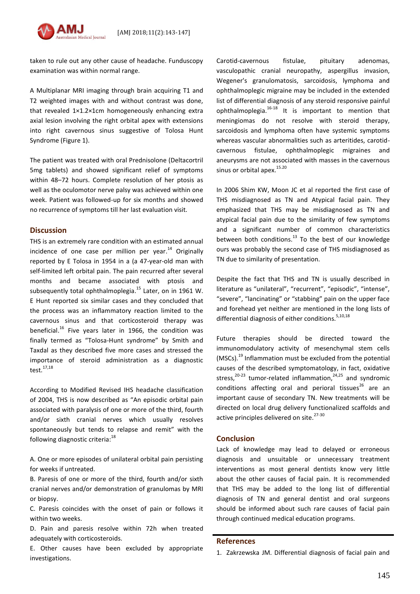

taken to rule out any other cause of headache. Funduscopy examination was within normal range.

A Multiplanar MRI imaging through brain acquiring T1 and T2 weighted images with and without contrast was done, that revealed 1×1.2×1cm homogeneously enhancing extra axial lesion involving the right orbital apex with extensions into right cavernous sinus suggestive of Tolosa Hunt Syndrome (Figure 1).

The patient was treated with oral Prednisolone (Deltacortril 5mg tablets) and showed significant relief of symptoms within 48–72 hours. Complete resolution of her ptosis as well as the oculomotor nerve palsy was achieved within one week. Patient was followed-up for six months and showed no recurrence of symptoms till her last evaluation visit.

## **Discussion**

THS is an extremely rare condition with an estimated annual incidence of one case per million per year.<sup>14</sup> Originally reported by E Tolosa in 1954 in a (a 47-year-old man with self-limited left orbital pain. The pain recurred after several months and became associated with ptosis and subsequently total ophthalmoplegia.<sup>15</sup> Later, on in 1961 W. E Hunt reported six similar cases and they concluded that the process was an inflammatory reaction limited to the cavernous sinus and that corticosteroid therapy was beneficial.<sup>16</sup> Five years later in 1966, the condition was finally termed as "Tolosa-Hunt syndrome" by Smith and Taxdal as they described five more cases and stressed the importance of steroid administration as a diagnostic test.17,18

According to Modified Revised IHS headache classification of 2004, THS is now described as "An episodic orbital pain associated with paralysis of one or more of the third, fourth and/or sixth cranial nerves which usually resolves spontaneously but tends to relapse and remit" with the following diagnostic criteria:<sup>18</sup>

A. One or more episodes of unilateral orbital pain persisting for weeks if untreated.

B. Paresis of one or more of the third, fourth and/or sixth cranial nerves and/or demonstration of granulomas by MRI or biopsy.

C. Paresis coincides with the onset of pain or follows it within two weeks.

D. Pain and paresis resolve within 72h when treated adequately with corticosteroids.

E. Other causes have been excluded by appropriate investigations.

Carotid-cavernous fistulae, pituitary adenomas, vasculopathic cranial neuropathy, aspergillus invasion, Wegener's granulomatosis, sarcoidosis, lymphoma and ophthalmoplegic migraine may be included in the extended list of differential diagnosis of any steroid responsive painful ophthalmoplegia.<sup>16-18</sup> It is important to mention that meningiomas do not resolve with steroid therapy, sarcoidosis and lymphoma often have systemic symptoms whereas vascular abnormalities such as arteritides, carotidcavernous fistulae, ophthalmoplegic migraines and aneurysms are not associated with masses in the cavernous sinus or orbital apex.<sup>15.20</sup>

In 2006 Shim KW, Moon JC et al reported the first case of THS misdiagnosed as TN and Atypical facial pain. They emphasized that THS may be misdiagnosed as TN and atypical facial pain due to the similarity of few symptoms and a significant number of common characteristics between both conditions.<sup>13</sup> To the best of our knowledge ours was probably the second case of THS misdiagnosed as TN due to similarity of presentation.

Despite the fact that THS and TN is usually described in literature as "unilateral", "recurrent", "episodic", "intense", "severe", "lancinating" or "stabbing" pain on the upper face and forehead yet neither are mentioned in the long lists of differential diagnosis of either conditions. 5,10,18

Future therapies should be directed toward the immunomodulatory activity of mesenchymal stem cells (MSCs).<sup>19</sup> Inflammation must be excluded from the potential causes of the described symptomatology, in fact, oxidative stress,<sup>20-23</sup> tumor-related inflammation,<sup>24,25</sup> and syndromic conditions affecting oral and perioral tissues<sup>26</sup> are an important cause of secondary TN. New treatments will be directed on local drug delivery functionalized scaffolds and active principles delivered on site.<sup>27-30</sup>

### **Conclusion**

Lack of knowledge may lead to delayed or erroneous diagnosis and unsuitable or unnecessary treatment interventions as most general dentists know very little about the other causes of facial pain. It is recommended that THS may be added to the long list of differential diagnosis of TN and general dentist and oral surgeons should be informed about such rare causes of facial pain through continued medical education programs.

#### **References**

1. Zakrzewska JM. Differential diagnosis of facial pain and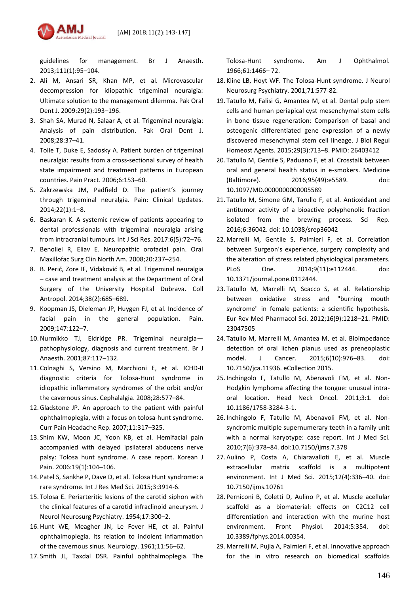

guidelines for management. Br J Anaesth. 2013;111(1):95–104.

- 2. Ali M, Ansari SR, Khan MP, et al. Microvascular decompression for idiopathic trigeminal neuralgia: Ultimate solution to the management dilemma. Pak Oral Dent J. 2009:29(2):193–196.
- 3. Shah SA, Murad N, Salaar A, et al. Trigeminal neuralgia: Analysis of pain distribution. Pak Oral Dent J. 2008;28:37–41.
- 4. Tolle T, Duke E, Sadosky A. Patient burden of trigeminal neuralgia: results from a cross-sectional survey of health state impairment and treatment patterns in European countries. Pain Pract. 2006;6:153–60.
- 5. Zakrzewska JM, Padfield D. The patient's journey through trigeminal neuralgia. Pain: Clinical Updates. 2014;22(1):1–8.
- 6. Baskaran K. A systemic review of patients appearing to dental professionals with trigeminal neuralgia arising from intracranial tumours. Int J Sci Res. 2017:6(5):72–76.
- 7. Benoliel R, Eliav E. Neuropathic orofacial pain. Oral Maxillofac Surg Clin North Am. 2008;20:237–254.
- 8. B. Perić, Zore IF, Vidaković B, et al. Trigeminal neuralgia – case and treatment analysis at the Department of Oral Surgery of the University Hospital Dubrava. Coll Antropol. 2014;38(2):685–689.
- 9. Koopman JS, Dieleman JP, Huygen FJ, et al. Incidence of facial pain in the general population. Pain. 2009;147:122–7.
- 10.Nurmikko TJ, Eldridge PR. Trigeminal neuralgia pathophysiology, diagnosis and current treatment. Br J Anaesth. 2001;87:117–132.
- 11. Colnaghi S, Versino M, Marchioni E, et al. ICHD-II diagnostic criteria for Tolosa-Hunt syndrome in idiopathic inflammatory syndromes of the orbit and/or the cavernous sinus. Cephalalgia. 2008;28:577–84.
- 12.Gladstone JP. An approach to the patient with painful ophthalmoplegia, with a focus on tolosa-hunt syndrome. Curr Pain Headache Rep. 2007;11:317–325.
- 13. Shim KW, Moon JC, Yoon KB, et al. Hemifacial pain accompanied with delayed ipsilateral abducens nerve palsy: Tolosa hunt syndrome. A case report. Korean J Pain. 2006:19(1):104–106.
- 14. Patel S, Sankhe P, Dave D, et al. Tolosa Hunt syndrome: a rare syndrome. Int J Res Med Sci. 2015;3:3914-6.
- 15. Tolosa E. Periarteritic lesions of the carotid siphon with the clinical features of a carotid infraclinoid aneurysm. J Neurol Neurosurg Psychiatry. 1954;17:300–2.
- 16. Hunt WE, Meagher JN, Le Fever HE, et al. Painful ophthalmoplegia. Its relation to indolent inflammation of the cavernous sinus. Neurology. 1961;11:56–62.
- 17. Smith JL, Taxdal DSR. Painful ophthalmoplegia. The

Tolosa-Hunt syndrome. Am J Ophthalmol. 1966;61:1466– 72.

- 18. Kline LB, Hoyt WF. The Tolosa-Hunt syndrome. J Neurol Neurosurg Psychiatry. 2001;71:577-82.
- 19. Tatullo M, Falisi G, Amantea M, et al. Dental pulp stem cells and human periapical cyst mesenchymal stem cells in bone tissue regeneration: Comparison of basal and osteogenic differentiated gene expression of a newly discovered mesenchymal stem cell lineage. J Biol Regul Homeost Agents. 2015;29(3):713–8. PMID: 26403412
- 20. Tatullo M, Gentile S, Paduano F, et al. Crosstalk between oral and general health status in e-smokers. Medicine (Baltimore). 2016;95(49):e5589. doi: 10.1097/MD.0000000000005589
- 21. Tatullo M, Simone GM, Tarullo F, et al. Antioxidant and antitumor activity of a bioactive polyphenolic fraction isolated from the brewing process. Sci Rep. 2016;6:36042. doi: 10.1038/srep36042
- 22. Marrelli M, Gentile S, Palmieri F, et al. Correlation between Surgeon's experience, surgery complexity and the alteration of stress related physiological parameters. PLoS One. 2014;9(11):e112444. doi: 10.1371/journal.pone.0112444.
- 23. Tatullo M, Marrelli M, Scacco S, et al. Relationship between oxidative stress and "burning mouth syndrome" in female patients: a scientific hypothesis. Eur Rev Med Pharmacol Sci. 2012;16(9):1218–21. PMID: 23047505
- 24. Tatullo M, Marrelli M, Amantea M, et al. Bioimpedance detection of oral lichen planus used as preneoplastic model. J Cancer. 2015;6(10):976–83. doi: 10.7150/jca.11936. eCollection 2015.
- 25. Inchingolo F, Tatullo M, Abenavoli FM, et al. Non-Hodgkin lymphoma affecting the tongue: unusual intraoral location. Head Neck Oncol. 2011;3:1. doi: 10.1186/1758-3284-3-1.
- 26. Inchingolo F, Tatullo M, Abenavoli FM, et al. Nonsyndromic multiple supernumerary teeth in a family unit with a normal karyotype: case report. Int J Med Sci. 2010;7(6):378–84. doi:10.7150/ijms.7.378
- 27. Aulino P, Costa A, Chiaravalloti E, et al. Muscle extracellular matrix scaffold is a multipotent environment. Int J Med Sci. 2015;12(4):336–40. doi: 10.7150/ijms.10761
- 28. Perniconi B, Coletti D, Aulino P, et al. Muscle acellular scaffold as a biomaterial: effects on C2C12 cell differentiation and interaction with the murine host environment. Front Physiol. 2014;5:354. doi: 10.3389/fphys.2014.00354.
- 29. Marrelli M, Pujia A, Palmieri F, et al. Innovative approach for the in vitro research on biomedical scaffolds